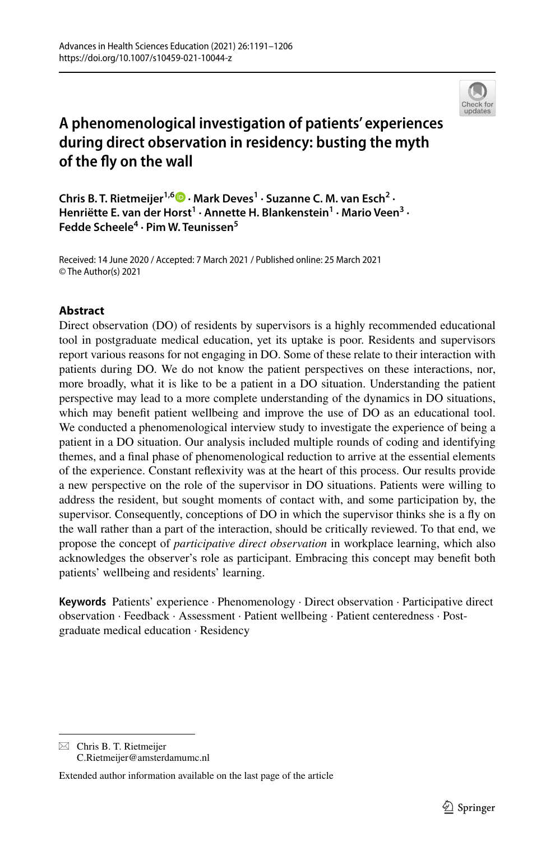

# **A phenomenological investigation of patients' experiences during direct observation in residency: busting the myth of the fy on the wall**

**Chris B. T. Rietmeijer1,6  [·](http://orcid.org/0000-0002-7210-8673) Mark Deves1 · Suzanne C. M. van Esch2 · Henriëtte E. van der Horst<sup>1</sup> · Annette H. Blankenstein1 · Mario Veen3 · Fedde Scheele4 · Pim W. Teunissen5**

Received: 14 June 2020 / Accepted: 7 March 2021 / Published online: 25 March 2021 © The Author(s) 2021

# **Abstract**

Direct observation (DO) of residents by supervisors is a highly recommended educational tool in postgraduate medical education, yet its uptake is poor. Residents and supervisors report various reasons for not engaging in DO. Some of these relate to their interaction with patients during DO. We do not know the patient perspectives on these interactions, nor, more broadly, what it is like to be a patient in a DO situation. Understanding the patient perspective may lead to a more complete understanding of the dynamics in DO situations, which may beneft patient wellbeing and improve the use of DO as an educational tool. We conducted a phenomenological interview study to investigate the experience of being a patient in a DO situation. Our analysis included multiple rounds of coding and identifying themes, and a fnal phase of phenomenological reduction to arrive at the essential elements of the experience. Constant refexivity was at the heart of this process. Our results provide a new perspective on the role of the supervisor in DO situations. Patients were willing to address the resident, but sought moments of contact with, and some participation by, the supervisor. Consequently, conceptions of DO in which the supervisor thinks she is a fy on the wall rather than a part of the interaction, should be critically reviewed. To that end, we propose the concept of *participative direct observation* in workplace learning, which also acknowledges the observer's role as participant. Embracing this concept may beneft both patients' wellbeing and residents' learning.

**Keywords** Patients' experience · Phenomenology · Direct observation · Participative direct observation · Feedback · Assessment · Patient wellbeing · Patient centeredness · Postgraduate medical education · Residency

 $\boxtimes$  Chris B. T. Rietmeijer C.Rietmeijer@amsterdamumc.nl

Extended author information available on the last page of the article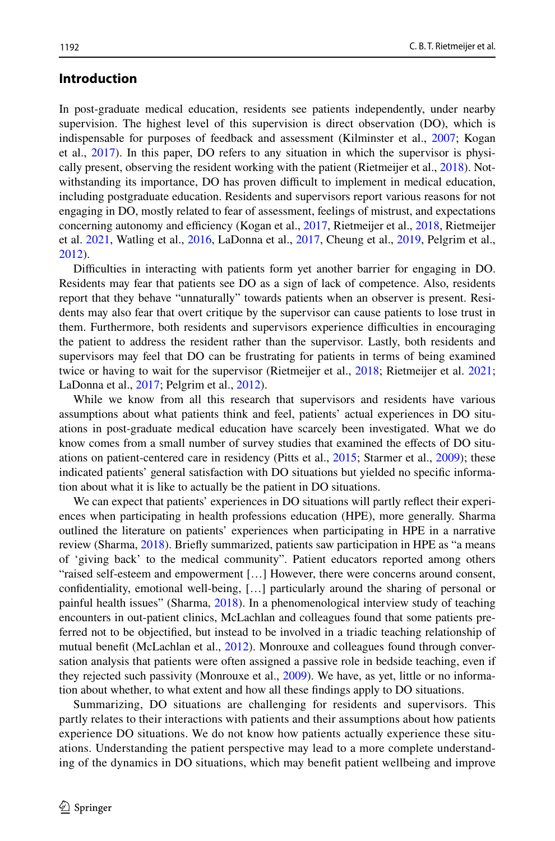# **Introduction**

In post-graduate medical education, residents see patients independently, under nearby supervision. The highest level of this supervision is direct observation (DO), which is indispensable for purposes of feedback and assessment (Kilminster et al., [2007;](#page-14-0) Kogan et al., [2017](#page-14-1)). In this paper, DO refers to any situation in which the supervisor is physically present, observing the resident working with the patient (Rietmeijer et al., [2018\)](#page-14-2). Notwithstanding its importance, DO has proven difficult to implement in medical education, including postgraduate education. Residents and supervisors report various reasons for not engaging in DO, mostly related to fear of assessment, feelings of mistrust, and expectations concerning autonomy and efficiency (Kogan et al., [2017](#page-14-1), Rietmeijer et al., [2018](#page-14-2), Rietmeijer et al. [2021](#page-14-3), Watling et al., [2016,](#page-15-0) LaDonna et al., [2017,](#page-14-4) Cheung et al., [2019,](#page-14-5) Pelgrim et al., [2012\)](#page-14-6).

Difficulties in interacting with patients form yet another barrier for engaging in DO. Residents may fear that patients see DO as a sign of lack of competence. Also, residents report that they behave "unnaturally" towards patients when an observer is present. Residents may also fear that overt critique by the supervisor can cause patients to lose trust in them. Furthermore, both residents and supervisors experience difculties in encouraging the patient to address the resident rather than the supervisor. Lastly, both residents and supervisors may feel that DO can be frustrating for patients in terms of being examined twice or having to wait for the supervisor (Rietmeijer et al., [2018](#page-14-2); Rietmeijer et al. [2021;](#page-14-3) LaDonna et al., [2017;](#page-14-4) Pelgrim et al., [2012](#page-14-6)).

While we know from all this research that supervisors and residents have various assumptions about what patients think and feel, patients' actual experiences in DO situations in post-graduate medical education have scarcely been investigated. What we do know comes from a small number of survey studies that examined the efects of DO situations on patient-centered care in residency (Pitts et al., [2015;](#page-14-7) Starmer et al., [2009](#page-14-8)); these indicated patients' general satisfaction with DO situations but yielded no specifc information about what it is like to actually be the patient in DO situations.

We can expect that patients' experiences in DO situations will partly refect their experiences when participating in health professions education (HPE), more generally. Sharma outlined the literature on patients' experiences when participating in HPE in a narrative review (Sharma, [2018\)](#page-14-9). Briefy summarized, patients saw participation in HPE as "a means of 'giving back' to the medical community". Patient educators reported among others "raised self-esteem and empowerment […] However, there were concerns around consent, confdentiality, emotional well-being, […] particularly around the sharing of personal or painful health issues" (Sharma, [2018\)](#page-14-9). In a phenomenological interview study of teaching encounters in out-patient clinics, McLachlan and colleagues found that some patients preferred not to be objectifed, but instead to be involved in a triadic teaching relationship of mutual benefit (McLachlan et al., [2012](#page-14-10)). Monrouxe and colleagues found through conversation analysis that patients were often assigned a passive role in bedside teaching, even if they rejected such passivity (Monrouxe et al., [2009](#page-14-11)). We have, as yet, little or no information about whether, to what extent and how all these fndings apply to DO situations.

Summarizing, DO situations are challenging for residents and supervisors. This partly relates to their interactions with patients and their assumptions about how patients experience DO situations. We do not know how patients actually experience these situations. Understanding the patient perspective may lead to a more complete understanding of the dynamics in DO situations, which may beneft patient wellbeing and improve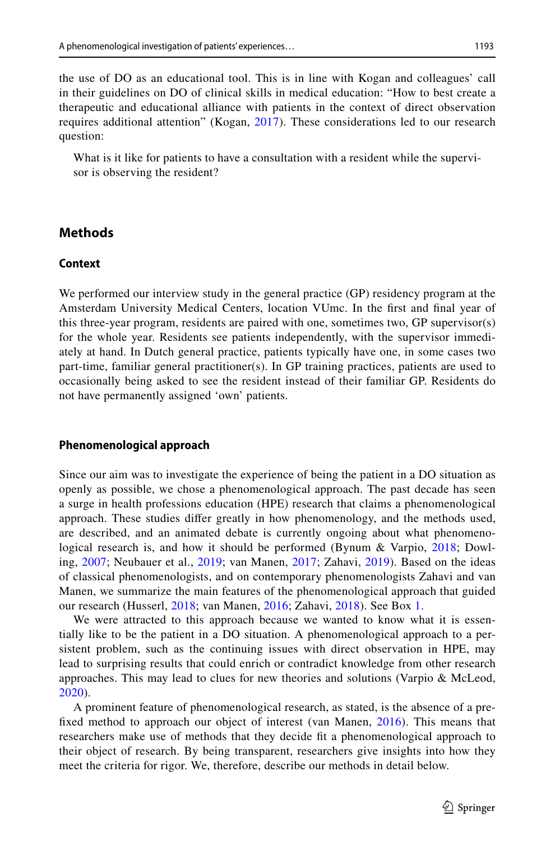the use of DO as an educational tool. This is in line with Kogan and colleagues' call in their guidelines on DO of clinical skills in medical education: "How to best create a therapeutic and educational alliance with patients in the context of direct observation requires additional attention" (Kogan, [2017](#page-14-1)). These considerations led to our research question:

What is it like for patients to have a consultation with a resident while the supervisor is observing the resident?

### **Methods**

### **Context**

We performed our interview study in the general practice (GP) residency program at the Amsterdam University Medical Centers, location VUmc. In the frst and fnal year of this three-year program, residents are paired with one, sometimes two, GP supervisor(s) for the whole year. Residents see patients independently, with the supervisor immediately at hand. In Dutch general practice, patients typically have one, in some cases two part-time, familiar general practitioner(s). In GP training practices, patients are used to occasionally being asked to see the resident instead of their familiar GP. Residents do not have permanently assigned 'own' patients.

#### **Phenomenological approach**

Since our aim was to investigate the experience of being the patient in a DO situation as openly as possible, we chose a phenomenological approach. The past decade has seen a surge in health professions education (HPE) research that claims a phenomenological approach. These studies difer greatly in how phenomenology, and the methods used, are described, and an animated debate is currently ongoing about what phenomenological research is, and how it should be performed (Bynum & Varpio, [2018;](#page-14-12) Dowling, [2007](#page-14-13); Neubauer et al., [2019](#page-14-14); van Manen, [2017;](#page-14-15) Zahavi, [2019\)](#page-15-1). Based on the ideas of classical phenomenologists, and on contemporary phenomenologists Zahavi and van Manen, we summarize the main features of the phenomenological approach that guided our research (Husserl, [2018](#page-14-16); van Manen, [2016](#page-14-17); Zahavi, [2018](#page-15-2)). See Box [1](#page-3-0).

We were attracted to this approach because we wanted to know what it is essentially like to be the patient in a DO situation. A phenomenological approach to a persistent problem, such as the continuing issues with direct observation in HPE, may lead to surprising results that could enrich or contradict knowledge from other research approaches. This may lead to clues for new theories and solutions (Varpio & McLeod, [2020](#page-15-3)).

A prominent feature of phenomenological research, as stated, is the absence of a prefxed method to approach our object of interest (van Manen, [2016](#page-14-17)). This means that researchers make use of methods that they decide ft a phenomenological approach to their object of research. By being transparent, researchers give insights into how they meet the criteria for rigor. We, therefore, describe our methods in detail below.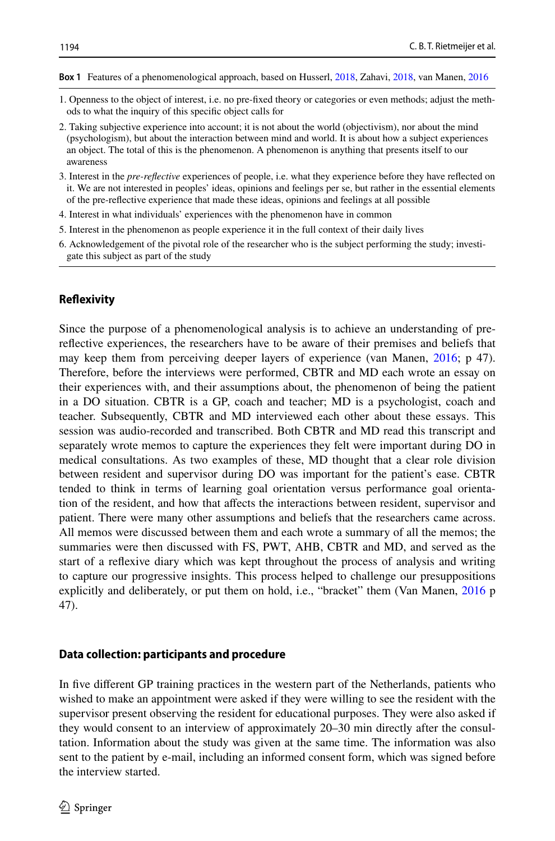<span id="page-3-0"></span>**Box 1** Features of a phenomenological approach, based on Husserl, [2018](#page-14-16), Zahavi, [2018](#page-15-2), van Manen, [2016](#page-14-17)

- 1. Openness to the object of interest, i.e. no pre-fxed theory or categories or even methods; adjust the methods to what the inquiry of this specifc object calls for
- 2. Taking subjective experience into account; it is not about the world (objectivism), nor about the mind (psychologism), but about the interaction between mind and world. It is about how a subject experiences an object. The total of this is the phenomenon. A phenomenon is anything that presents itself to our awareness
- 3. Interest in the *pre-refective* experiences of people, i.e. what they experience before they have refected on it. We are not interested in peoples' ideas, opinions and feelings per se, but rather in the essential elements of the pre-refective experience that made these ideas, opinions and feelings at all possible
- 4. Interest in what individuals' experiences with the phenomenon have in common
- 5. Interest in the phenomenon as people experience it in the full context of their daily lives
- 6. Acknowledgement of the pivotal role of the researcher who is the subject performing the study; investigate this subject as part of the study

#### **Refexivity**

Since the purpose of a phenomenological analysis is to achieve an understanding of prerefective experiences, the researchers have to be aware of their premises and beliefs that may keep them from perceiving deeper layers of experience (van Manen, [2016](#page-14-17); p 47). Therefore, before the interviews were performed, CBTR and MD each wrote an essay on their experiences with, and their assumptions about, the phenomenon of being the patient in a DO situation. CBTR is a GP, coach and teacher; MD is a psychologist, coach and teacher. Subsequently, CBTR and MD interviewed each other about these essays. This session was audio-recorded and transcribed. Both CBTR and MD read this transcript and separately wrote memos to capture the experiences they felt were important during DO in medical consultations. As two examples of these, MD thought that a clear role division between resident and supervisor during DO was important for the patient's ease. CBTR tended to think in terms of learning goal orientation versus performance goal orientation of the resident, and how that afects the interactions between resident, supervisor and patient. There were many other assumptions and beliefs that the researchers came across. All memos were discussed between them and each wrote a summary of all the memos; the summaries were then discussed with FS, PWT, AHB, CBTR and MD, and served as the start of a refexive diary which was kept throughout the process of analysis and writing to capture our progressive insights. This process helped to challenge our presuppositions explicitly and deliberately, or put them on hold, i.e., "bracket" them (Van Manen, [2016](#page-14-17) p 47).

#### **Data collection: participants and procedure**

In five different GP training practices in the western part of the Netherlands, patients who wished to make an appointment were asked if they were willing to see the resident with the supervisor present observing the resident for educational purposes. They were also asked if they would consent to an interview of approximately 20–30 min directly after the consultation. Information about the study was given at the same time. The information was also sent to the patient by e-mail, including an informed consent form, which was signed before the interview started.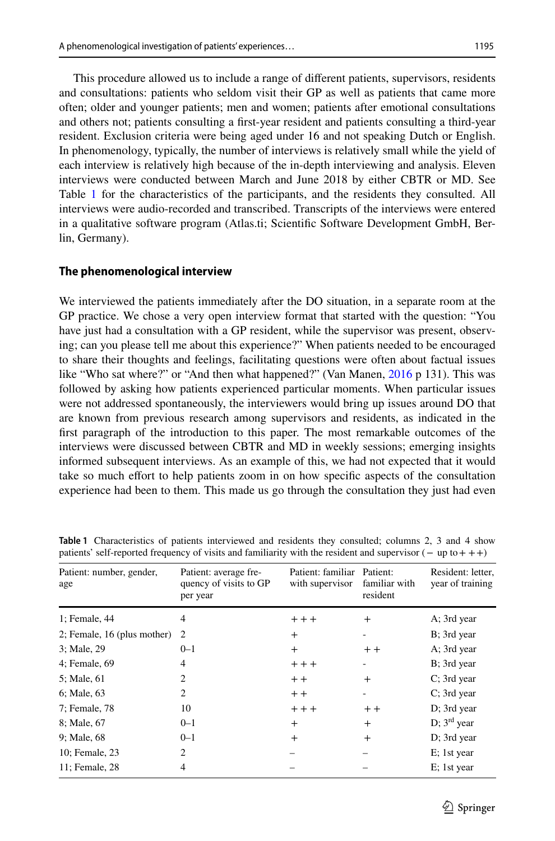This procedure allowed us to include a range of diferent patients, supervisors, residents and consultations: patients who seldom visit their GP as well as patients that came more often; older and younger patients; men and women; patients after emotional consultations and others not; patients consulting a frst-year resident and patients consulting a third-year resident. Exclusion criteria were being aged under 16 and not speaking Dutch or English. In phenomenology, typically, the number of interviews is relatively small while the yield of each interview is relatively high because of the in-depth interviewing and analysis. Eleven interviews were conducted between March and June 2018 by either CBTR or MD. See Table [1](#page-4-0) for the characteristics of the participants, and the residents they consulted. All interviews were audio-recorded and transcribed. Transcripts of the interviews were entered in a qualitative software program (Atlas.ti; Scientifc Software Development GmbH, Berlin, Germany).

### **The phenomenological interview**

We interviewed the patients immediately after the DO situation, in a separate room at the GP practice. We chose a very open interview format that started with the question: "You have just had a consultation with a GP resident, while the supervisor was present, observing; can you please tell me about this experience?" When patients needed to be encouraged to share their thoughts and feelings, facilitating questions were often about factual issues like "Who sat where?" or "And then what happened?" (Van Manen, [2016](#page-14-17) p 131). This was followed by asking how patients experienced particular moments. When particular issues were not addressed spontaneously, the interviewers would bring up issues around DO that are known from previous research among supervisors and residents, as indicated in the frst paragraph of the introduction to this paper. The most remarkable outcomes of the interviews were discussed between CBTR and MD in weekly sessions; emerging insights informed subsequent interviews. As an example of this, we had not expected that it would take so much efort to help patients zoom in on how specifc aspects of the consultation experience had been to them. This made us go through the consultation they just had even

| Patient: number, gender,<br>age | Patient: average fre-<br>quency of visits to GP<br>per year | Patient: familiar<br>with supervisor | Patient:<br>familiar with<br>resident | Resident: letter,<br>year of training |
|---------------------------------|-------------------------------------------------------------|--------------------------------------|---------------------------------------|---------------------------------------|
| 1; Female, 44                   | 4                                                           | $++$                                 | $^{+}$                                | A; 3rd year                           |
| 2; Female, 16 (plus mother)     | $\overline{2}$                                              | $^{+}$                               |                                       | B; 3rd year                           |
| 3; Male, 29                     | $0 - 1$                                                     | $^{+}$                               | $+ +$                                 | A; 3rd year                           |
| 4; Female, 69                   | 4                                                           | $+++$                                | ۰                                     | B; 3rd year                           |
| 5; Male, 61                     | $\overline{c}$                                              | $+ +$                                | $^{+}$                                | $C$ ; 3rd year                        |
| 6; Male, 63                     | $\overline{c}$                                              | $+ +$                                | ۰                                     | C; 3rd year                           |
| 7; Female, 78                   | 10                                                          | $++$                                 | $+ +$                                 | D; 3rd year                           |
| 8; Male, 67                     | $0 - 1$                                                     | $^{+}$                               | $+$                                   | D; $3rd$ year                         |
| 9; Male, 68                     | $0 - 1$                                                     | $^{+}$                               | $+$                                   | D; 3rd year                           |
| 10; Female, 23                  | $\overline{c}$                                              |                                      |                                       | E; 1st year                           |
| 11; Female, 28                  | 4                                                           |                                      |                                       | E; 1st year                           |

<span id="page-4-0"></span>**Table 1** Characteristics of patients interviewed and residents they consulted; columns 2, 3 and 4 show patients' self-reported frequency of visits and familiarity with the resident and supervisor (− up to+ ++)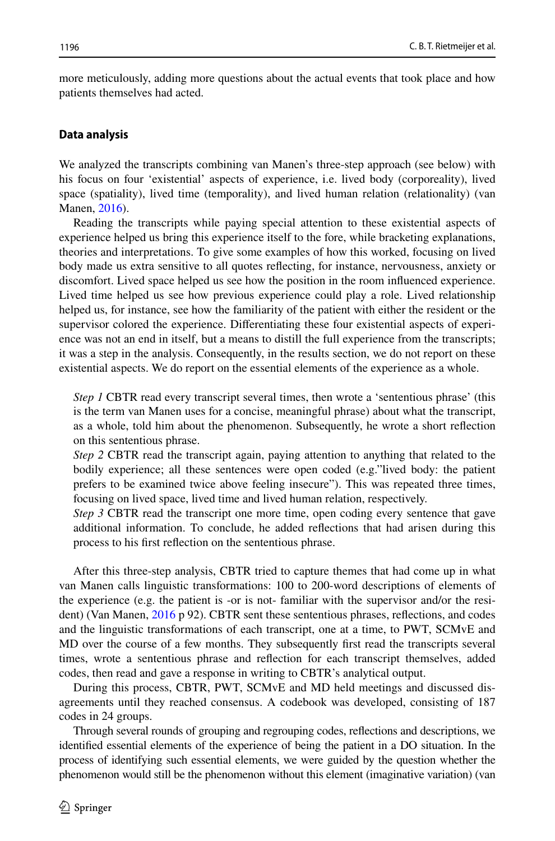more meticulously, adding more questions about the actual events that took place and how patients themselves had acted.

#### **Data analysis**

We analyzed the transcripts combining van Manen's three-step approach (see below) with his focus on four 'existential' aspects of experience, i.e. lived body (corporeality), lived space (spatiality), lived time (temporality), and lived human relation (relationality) (van Manen, [2016\)](#page-14-17).

Reading the transcripts while paying special attention to these existential aspects of experience helped us bring this experience itself to the fore, while bracketing explanations, theories and interpretations. To give some examples of how this worked, focusing on lived body made us extra sensitive to all quotes refecting, for instance, nervousness, anxiety or discomfort. Lived space helped us see how the position in the room infuenced experience. Lived time helped us see how previous experience could play a role. Lived relationship helped us, for instance, see how the familiarity of the patient with either the resident or the supervisor colored the experience. Diferentiating these four existential aspects of experience was not an end in itself, but a means to distill the full experience from the transcripts; it was a step in the analysis. Consequently, in the results section, we do not report on these existential aspects. We do report on the essential elements of the experience as a whole.

*Step 1* CBTR read every transcript several times, then wrote a 'sententious phrase' (this is the term van Manen uses for a concise, meaningful phrase) about what the transcript, as a whole, told him about the phenomenon. Subsequently, he wrote a short refection on this sententious phrase.

*Step 2* CBTR read the transcript again, paying attention to anything that related to the bodily experience; all these sentences were open coded (e.g."lived body: the patient prefers to be examined twice above feeling insecure"). This was repeated three times, focusing on lived space, lived time and lived human relation, respectively.

*Step 3* CBTR read the transcript one more time, open coding every sentence that gave additional information. To conclude, he added refections that had arisen during this process to his frst refection on the sententious phrase.

After this three-step analysis, CBTR tried to capture themes that had come up in what van Manen calls linguistic transformations: 100 to 200-word descriptions of elements of the experience (e.g. the patient is -or is not- familiar with the supervisor and/or the resi-dent) (Van Manen, [2016](#page-14-17) p 92). CBTR sent these sententious phrases, reflections, and codes and the linguistic transformations of each transcript, one at a time, to PWT, SCMvE and MD over the course of a few months. They subsequently frst read the transcripts several times, wrote a sententious phrase and refection for each transcript themselves, added codes, then read and gave a response in writing to CBTR's analytical output.

During this process, CBTR, PWT, SCMvE and MD held meetings and discussed disagreements until they reached consensus. A codebook was developed, consisting of 187 codes in 24 groups.

Through several rounds of grouping and regrouping codes, refections and descriptions, we identifed essential elements of the experience of being the patient in a DO situation. In the process of identifying such essential elements, we were guided by the question whether the phenomenon would still be the phenomenon without this element (imaginative variation) (van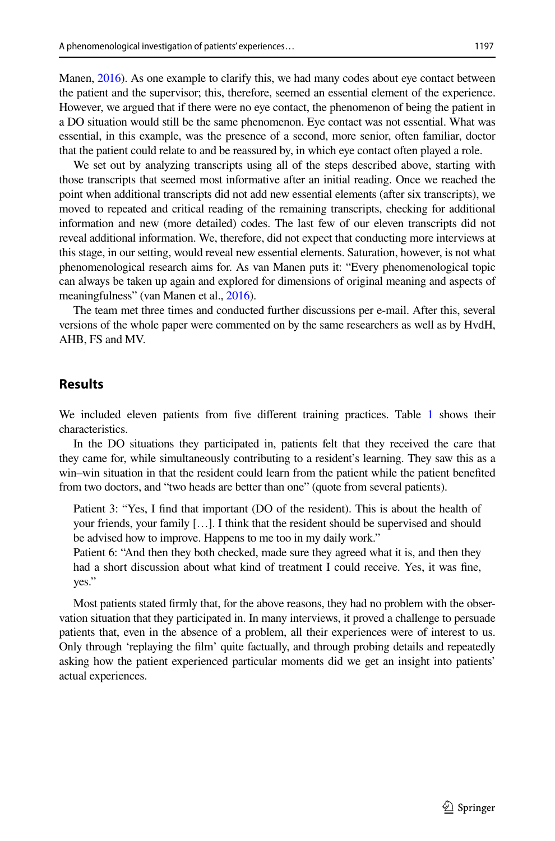Manen, [2016\)](#page-14-17). As one example to clarify this, we had many codes about eye contact between the patient and the supervisor; this, therefore, seemed an essential element of the experience. However, we argued that if there were no eye contact, the phenomenon of being the patient in a DO situation would still be the same phenomenon. Eye contact was not essential. What was essential, in this example, was the presence of a second, more senior, often familiar, doctor that the patient could relate to and be reassured by, in which eye contact often played a role.

We set out by analyzing transcripts using all of the steps described above, starting with those transcripts that seemed most informative after an initial reading. Once we reached the point when additional transcripts did not add new essential elements (after six transcripts), we moved to repeated and critical reading of the remaining transcripts, checking for additional information and new (more detailed) codes. The last few of our eleven transcripts did not reveal additional information. We, therefore, did not expect that conducting more interviews at this stage, in our setting, would reveal new essential elements. Saturation, however, is not what phenomenological research aims for. As van Manen puts it: "Every phenomenological topic can always be taken up again and explored for dimensions of original meaning and aspects of meaningfulness" (van Manen et al., [2016\)](#page-14-18).

The team met three times and conducted further discussions per e-mail. After this, several versions of the whole paper were commented on by the same researchers as well as by HvdH, AHB, FS and MV.

### **Results**

We included eleven patients from five different training practices. Table [1](#page-4-0) shows their characteristics.

In the DO situations they participated in, patients felt that they received the care that they came for, while simultaneously contributing to a resident's learning. They saw this as a win–win situation in that the resident could learn from the patient while the patient benefted from two doctors, and "two heads are better than one" (quote from several patients).

Patient 3: "Yes, I fnd that important (DO of the resident). This is about the health of your friends, your family […]. I think that the resident should be supervised and should be advised how to improve. Happens to me too in my daily work."

Patient 6: "And then they both checked, made sure they agreed what it is, and then they had a short discussion about what kind of treatment I could receive. Yes, it was fne, yes."

Most patients stated frmly that, for the above reasons, they had no problem with the observation situation that they participated in. In many interviews, it proved a challenge to persuade patients that, even in the absence of a problem, all their experiences were of interest to us. Only through 'replaying the flm' quite factually, and through probing details and repeatedly asking how the patient experienced particular moments did we get an insight into patients' actual experiences.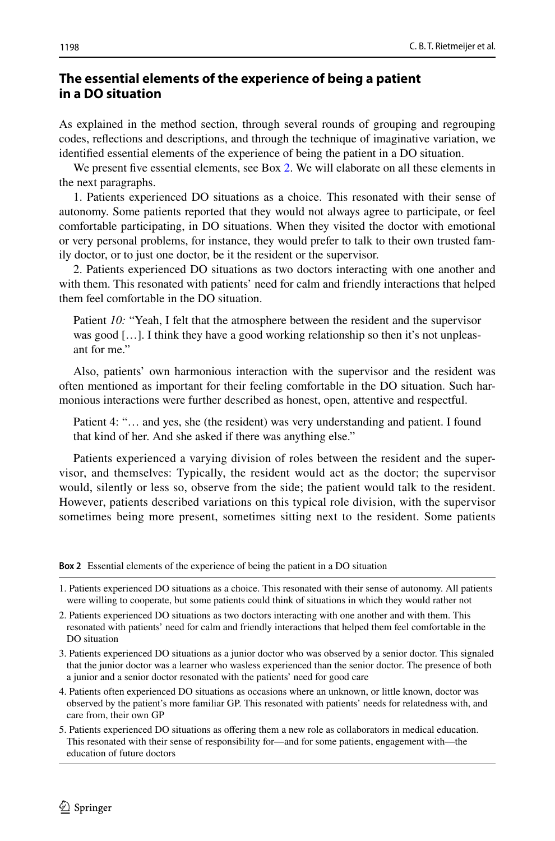# **The essential elements of the experience of being a patient in a DO situation**

As explained in the method section, through several rounds of grouping and regrouping codes, refections and descriptions, and through the technique of imaginative variation, we identifed essential elements of the experience of being the patient in a DO situation.

We present five essential elements, see Box [2.](#page-7-0) We will elaborate on all these elements in the next paragraphs.

1. Patients experienced DO situations as a choice. This resonated with their sense of autonomy. Some patients reported that they would not always agree to participate, or feel comfortable participating, in DO situations. When they visited the doctor with emotional or very personal problems, for instance, they would prefer to talk to their own trusted family doctor, or to just one doctor, be it the resident or the supervisor.

2. Patients experienced DO situations as two doctors interacting with one another and with them. This resonated with patients' need for calm and friendly interactions that helped them feel comfortable in the DO situation.

Patient *10:* "Yeah, I felt that the atmosphere between the resident and the supervisor was good [...]. I think they have a good working relationship so then it's not unpleasant for me."

Also, patients' own harmonious interaction with the supervisor and the resident was often mentioned as important for their feeling comfortable in the DO situation. Such harmonious interactions were further described as honest, open, attentive and respectful.

Patient 4: "… and yes, she (the resident) was very understanding and patient. I found that kind of her. And she asked if there was anything else."

Patients experienced a varying division of roles between the resident and the supervisor, and themselves: Typically, the resident would act as the doctor; the supervisor would, silently or less so, observe from the side; the patient would talk to the resident. However, patients described variations on this typical role division, with the supervisor sometimes being more present, sometimes sitting next to the resident. Some patients

<span id="page-7-0"></span>**Box 2** Essential elements of the experience of being the patient in a DO situation

1. Patients experienced DO situations as a choice. This resonated with their sense of autonomy. All patients were willing to cooperate, but some patients could think of situations in which they would rather not

2. Patients experienced DO situations as two doctors interacting with one another and with them. This resonated with patients' need for calm and friendly interactions that helped them feel comfortable in the DO situation

- 3. Patients experienced DO situations as a junior doctor who was observed by a senior doctor. This signaled that the junior doctor was a learner who wasless experienced than the senior doctor. The presence of both a junior and a senior doctor resonated with the patients' need for good care
- 4. Patients often experienced DO situations as occasions where an unknown, or little known, doctor was observed by the patient's more familiar GP. This resonated with patients' needs for relatedness with, and care from, their own GP
- 5. Patients experienced DO situations as ofering them a new role as collaborators in medical education. This resonated with their sense of responsibility for—and for some patients, engagement with—the education of future doctors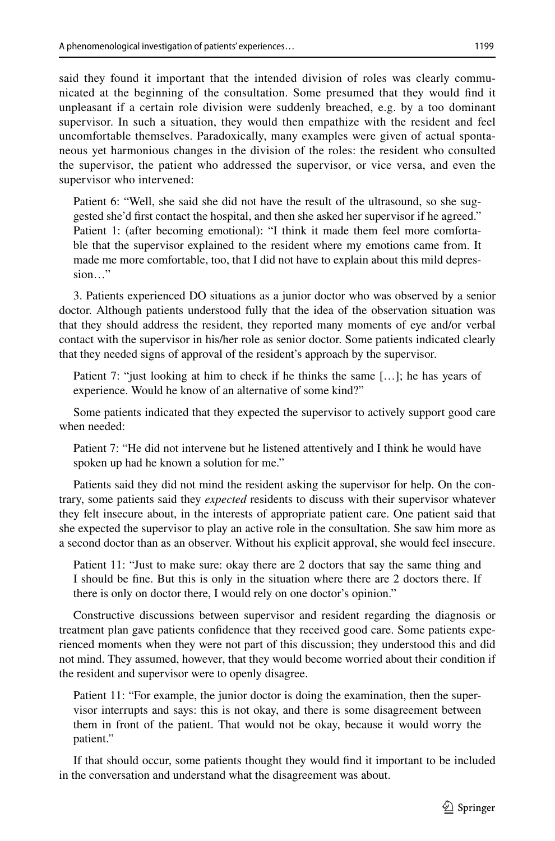said they found it important that the intended division of roles was clearly communicated at the beginning of the consultation. Some presumed that they would fnd it unpleasant if a certain role division were suddenly breached, e.g. by a too dominant supervisor. In such a situation, they would then empathize with the resident and feel uncomfortable themselves. Paradoxically, many examples were given of actual spontaneous yet harmonious changes in the division of the roles: the resident who consulted the supervisor, the patient who addressed the supervisor, or vice versa, and even the supervisor who intervened:

Patient 6: "Well, she said she did not have the result of the ultrasound, so she suggested she'd frst contact the hospital, and then she asked her supervisor if he agreed." Patient 1: (after becoming emotional): "I think it made them feel more comfortable that the supervisor explained to the resident where my emotions came from. It made me more comfortable, too, that I did not have to explain about this mild depression…"

3. Patients experienced DO situations as a junior doctor who was observed by a senior doctor. Although patients understood fully that the idea of the observation situation was that they should address the resident, they reported many moments of eye and/or verbal contact with the supervisor in his/her role as senior doctor. Some patients indicated clearly that they needed signs of approval of the resident's approach by the supervisor.

Patient 7: "just looking at him to check if he thinks the same […]; he has years of experience. Would he know of an alternative of some kind?"

Some patients indicated that they expected the supervisor to actively support good care when needed:

Patient 7: "He did not intervene but he listened attentively and I think he would have spoken up had he known a solution for me."

Patients said they did not mind the resident asking the supervisor for help. On the contrary, some patients said they *expected* residents to discuss with their supervisor whatever they felt insecure about, in the interests of appropriate patient care. One patient said that she expected the supervisor to play an active role in the consultation. She saw him more as a second doctor than as an observer. Without his explicit approval, she would feel insecure.

Patient 11: "Just to make sure: okay there are 2 doctors that say the same thing and I should be fne. But this is only in the situation where there are 2 doctors there. If there is only on doctor there, I would rely on one doctor's opinion."

Constructive discussions between supervisor and resident regarding the diagnosis or treatment plan gave patients confdence that they received good care. Some patients experienced moments when they were not part of this discussion; they understood this and did not mind. They assumed, however, that they would become worried about their condition if the resident and supervisor were to openly disagree.

Patient 11: "For example, the junior doctor is doing the examination, then the supervisor interrupts and says: this is not okay, and there is some disagreement between them in front of the patient. That would not be okay, because it would worry the patient."

If that should occur, some patients thought they would fnd it important to be included in the conversation and understand what the disagreement was about.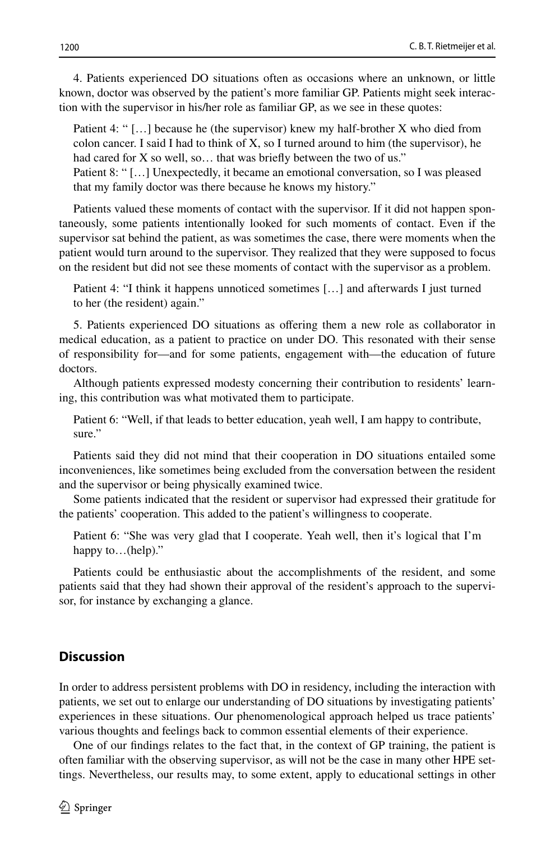4. Patients experienced DO situations often as occasions where an unknown, or little known, doctor was observed by the patient's more familiar GP. Patients might seek interaction with the supervisor in his/her role as familiar GP, as we see in these quotes:

Patient 4: " […] because he (the supervisor) knew my half-brother X who died from colon cancer. I said I had to think of  $X$ , so I turned around to him (the supervisor), he had cared for X so well, so... that was briefly between the two of us."

Patient 8: " […] Unexpectedly, it became an emotional conversation, so I was pleased that my family doctor was there because he knows my history."

Patients valued these moments of contact with the supervisor. If it did not happen spontaneously, some patients intentionally looked for such moments of contact. Even if the supervisor sat behind the patient, as was sometimes the case, there were moments when the patient would turn around to the supervisor. They realized that they were supposed to focus on the resident but did not see these moments of contact with the supervisor as a problem.

Patient 4: "I think it happens unnoticed sometimes […] and afterwards I just turned to her (the resident) again."

5. Patients experienced DO situations as ofering them a new role as collaborator in medical education, as a patient to practice on under DO. This resonated with their sense of responsibility for—and for some patients, engagement with—the education of future doctors.

Although patients expressed modesty concerning their contribution to residents' learning, this contribution was what motivated them to participate.

Patient 6: "Well, if that leads to better education, yeah well, I am happy to contribute, sure."

Patients said they did not mind that their cooperation in DO situations entailed some inconveniences, like sometimes being excluded from the conversation between the resident and the supervisor or being physically examined twice.

Some patients indicated that the resident or supervisor had expressed their gratitude for the patients' cooperation. This added to the patient's willingness to cooperate.

Patient 6: "She was very glad that I cooperate. Yeah well, then it's logical that I'm happy to...(help)."

Patients could be enthusiastic about the accomplishments of the resident, and some patients said that they had shown their approval of the resident's approach to the supervisor, for instance by exchanging a glance.

### **Discussion**

In order to address persistent problems with DO in residency, including the interaction with patients, we set out to enlarge our understanding of DO situations by investigating patients' experiences in these situations. Our phenomenological approach helped us trace patients' various thoughts and feelings back to common essential elements of their experience.

One of our fndings relates to the fact that, in the context of GP training, the patient is often familiar with the observing supervisor, as will not be the case in many other HPE settings. Nevertheless, our results may, to some extent, apply to educational settings in other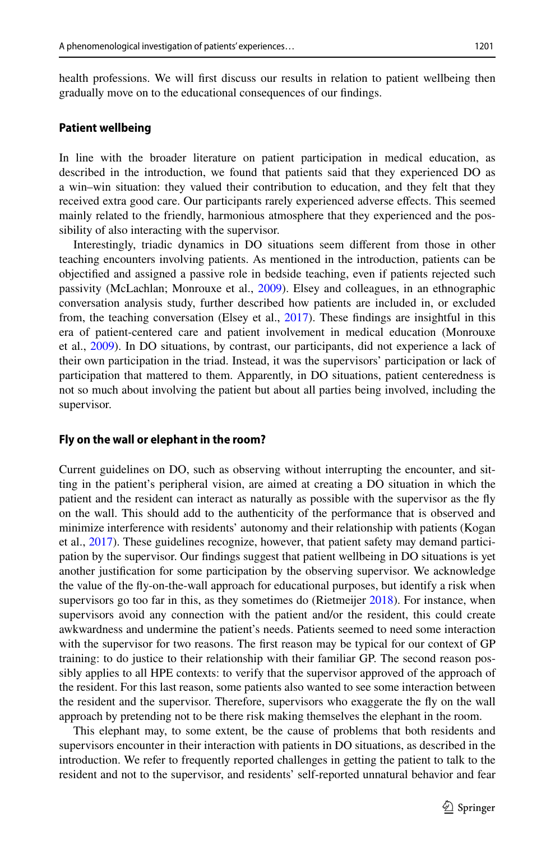health professions. We will frst discuss our results in relation to patient wellbeing then gradually move on to the educational consequences of our fndings.

#### **Patient wellbeing**

In line with the broader literature on patient participation in medical education, as described in the introduction, we found that patients said that they experienced DO as a win–win situation: they valued their contribution to education, and they felt that they received extra good care. Our participants rarely experienced adverse efects. This seemed mainly related to the friendly, harmonious atmosphere that they experienced and the possibility of also interacting with the supervisor.

Interestingly, triadic dynamics in DO situations seem diferent from those in other teaching encounters involving patients. As mentioned in the introduction, patients can be objectifed and assigned a passive role in bedside teaching, even if patients rejected such passivity (McLachlan; Monrouxe et al., [2009](#page-14-11)). Elsey and colleagues, in an ethnographic conversation analysis study, further described how patients are included in, or excluded from, the teaching conversation (Elsey et al., [2017](#page-14-19)). These findings are insightful in this era of patient-centered care and patient involvement in medical education (Monrouxe et al., [2009\)](#page-14-11). In DO situations, by contrast, our participants, did not experience a lack of their own participation in the triad. Instead, it was the supervisors' participation or lack of participation that mattered to them. Apparently, in DO situations, patient centeredness is not so much about involving the patient but about all parties being involved, including the supervisor.

#### **Fly on the wall or elephant in the room?**

Current guidelines on DO, such as observing without interrupting the encounter, and sitting in the patient's peripheral vision, are aimed at creating a DO situation in which the patient and the resident can interact as naturally as possible with the supervisor as the fy on the wall. This should add to the authenticity of the performance that is observed and minimize interference with residents' autonomy and their relationship with patients (Kogan et al., [2017](#page-14-1)). These guidelines recognize, however, that patient safety may demand participation by the supervisor. Our fndings suggest that patient wellbeing in DO situations is yet another justifcation for some participation by the observing supervisor. We acknowledge the value of the fy-on-the-wall approach for educational purposes, but identify a risk when supervisors go too far in this, as they sometimes do (Rietmeijer [2018\)](#page-14-2). For instance, when supervisors avoid any connection with the patient and/or the resident, this could create awkwardness and undermine the patient's needs. Patients seemed to need some interaction with the supervisor for two reasons. The first reason may be typical for our context of GP training: to do justice to their relationship with their familiar GP. The second reason possibly applies to all HPE contexts: to verify that the supervisor approved of the approach of the resident. For this last reason, some patients also wanted to see some interaction between the resident and the supervisor. Therefore, supervisors who exaggerate the fy on the wall approach by pretending not to be there risk making themselves the elephant in the room.

This elephant may, to some extent, be the cause of problems that both residents and supervisors encounter in their interaction with patients in DO situations, as described in the introduction. We refer to frequently reported challenges in getting the patient to talk to the resident and not to the supervisor, and residents' self-reported unnatural behavior and fear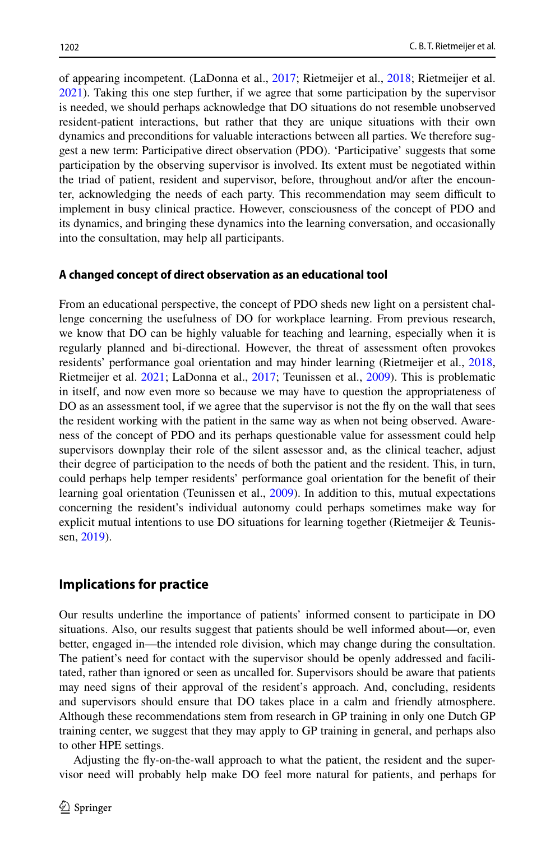of appearing incompetent. (LaDonna et al., [2017;](#page-14-4) Rietmeijer et al., [2018;](#page-14-2) Rietmeijer et al. [2021\)](#page-14-3). Taking this one step further, if we agree that some participation by the supervisor is needed, we should perhaps acknowledge that DO situations do not resemble unobserved resident-patient interactions, but rather that they are unique situations with their own dynamics and preconditions for valuable interactions between all parties. We therefore suggest a new term: Participative direct observation (PDO). 'Participative' suggests that some participation by the observing supervisor is involved. Its extent must be negotiated within the triad of patient, resident and supervisor, before, throughout and/or after the encounter, acknowledging the needs of each party. This recommendation may seem difcult to implement in busy clinical practice. However, consciousness of the concept of PDO and its dynamics, and bringing these dynamics into the learning conversation, and occasionally into the consultation, may help all participants.

#### **A changed concept of direct observation as an educational tool**

From an educational perspective, the concept of PDO sheds new light on a persistent challenge concerning the usefulness of DO for workplace learning. From previous research, we know that DO can be highly valuable for teaching and learning, especially when it is regularly planned and bi-directional. However, the threat of assessment often provokes residents' performance goal orientation and may hinder learning (Rietmeijer et al., [2018](#page-14-2), Rietmeijer et al. [2021;](#page-14-3) LaDonna et al., [2017;](#page-14-4) Teunissen et al., [2009](#page-14-20)). This is problematic in itself, and now even more so because we may have to question the appropriateness of DO as an assessment tool, if we agree that the supervisor is not the fly on the wall that sees the resident working with the patient in the same way as when not being observed. Awareness of the concept of PDO and its perhaps questionable value for assessment could help supervisors downplay their role of the silent assessor and, as the clinical teacher, adjust their degree of participation to the needs of both the patient and the resident. This, in turn, could perhaps help temper residents' performance goal orientation for the beneft of their learning goal orientation (Teunissen et al., [2009\)](#page-14-20). In addition to this, mutual expectations concerning the resident's individual autonomy could perhaps sometimes make way for explicit mutual intentions to use DO situations for learning together (Rietmeijer & Teunissen, [2019](#page-14-21)).

### **Implications for practice**

Our results underline the importance of patients' informed consent to participate in DO situations. Also, our results suggest that patients should be well informed about—or, even better, engaged in—the intended role division, which may change during the consultation. The patient's need for contact with the supervisor should be openly addressed and facilitated, rather than ignored or seen as uncalled for. Supervisors should be aware that patients may need signs of their approval of the resident's approach. And, concluding, residents and supervisors should ensure that DO takes place in a calm and friendly atmosphere. Although these recommendations stem from research in GP training in only one Dutch GP training center, we suggest that they may apply to GP training in general, and perhaps also to other HPE settings.

Adjusting the fy-on-the-wall approach to what the patient, the resident and the supervisor need will probably help make DO feel more natural for patients, and perhaps for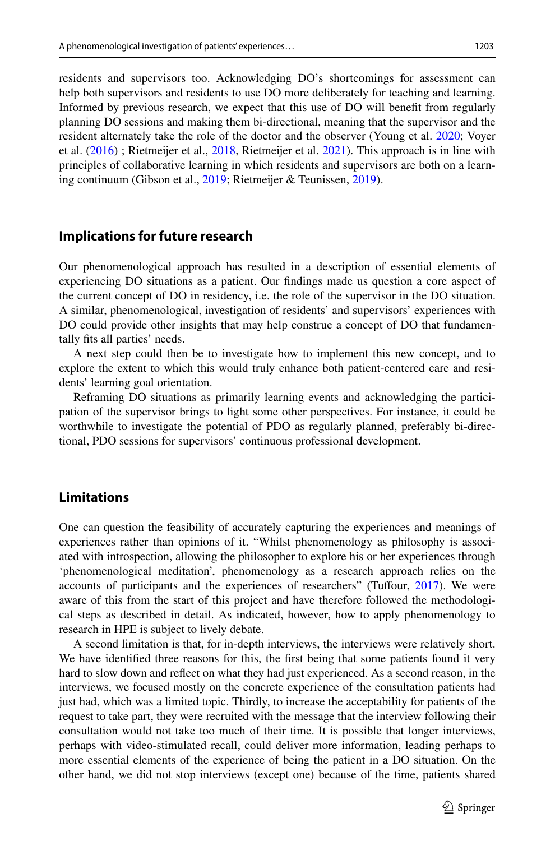residents and supervisors too. Acknowledging DO's shortcomings for assessment can help both supervisors and residents to use DO more deliberately for teaching and learning. Informed by previous research, we expect that this use of DO will beneft from regularly planning DO sessions and making them bi-directional, meaning that the supervisor and the resident alternately take the role of the doctor and the observer (Young et al. [2020](#page-15-4); Voyer et al. [\(2016](#page-15-5)) ; Rietmeijer et al., [2018,](#page-14-2) Rietmeijer et al. [2021](#page-14-3)). This approach is in line with principles of collaborative learning in which residents and supervisors are both on a learning continuum (Gibson et al., [2019](#page-14-22); Rietmeijer & Teunissen, [2019](#page-14-21)).

### **Implications for future research**

Our phenomenological approach has resulted in a description of essential elements of experiencing DO situations as a patient. Our fndings made us question a core aspect of the current concept of DO in residency, i.e. the role of the supervisor in the DO situation. A similar, phenomenological, investigation of residents' and supervisors' experiences with DO could provide other insights that may help construe a concept of DO that fundamentally fts all parties' needs.

A next step could then be to investigate how to implement this new concept, and to explore the extent to which this would truly enhance both patient-centered care and residents' learning goal orientation.

Reframing DO situations as primarily learning events and acknowledging the participation of the supervisor brings to light some other perspectives. For instance, it could be worthwhile to investigate the potential of PDO as regularly planned, preferably bi-directional, PDO sessions for supervisors' continuous professional development.

### **Limitations**

One can question the feasibility of accurately capturing the experiences and meanings of experiences rather than opinions of it. "Whilst phenomenology as philosophy is associated with introspection, allowing the philosopher to explore his or her experiences through 'phenomenological meditation', phenomenology as a research approach relies on the accounts of participants and the experiences of researchers" (Tufour, [2017\)](#page-14-23). We were aware of this from the start of this project and have therefore followed the methodological steps as described in detail. As indicated, however, how to apply phenomenology to research in HPE is subject to lively debate.

A second limitation is that, for in-depth interviews, the interviews were relatively short. We have identifed three reasons for this, the frst being that some patients found it very hard to slow down and refect on what they had just experienced. As a second reason, in the interviews, we focused mostly on the concrete experience of the consultation patients had just had, which was a limited topic. Thirdly, to increase the acceptability for patients of the request to take part, they were recruited with the message that the interview following their consultation would not take too much of their time. It is possible that longer interviews, perhaps with video-stimulated recall, could deliver more information, leading perhaps to more essential elements of the experience of being the patient in a DO situation. On the other hand, we did not stop interviews (except one) because of the time, patients shared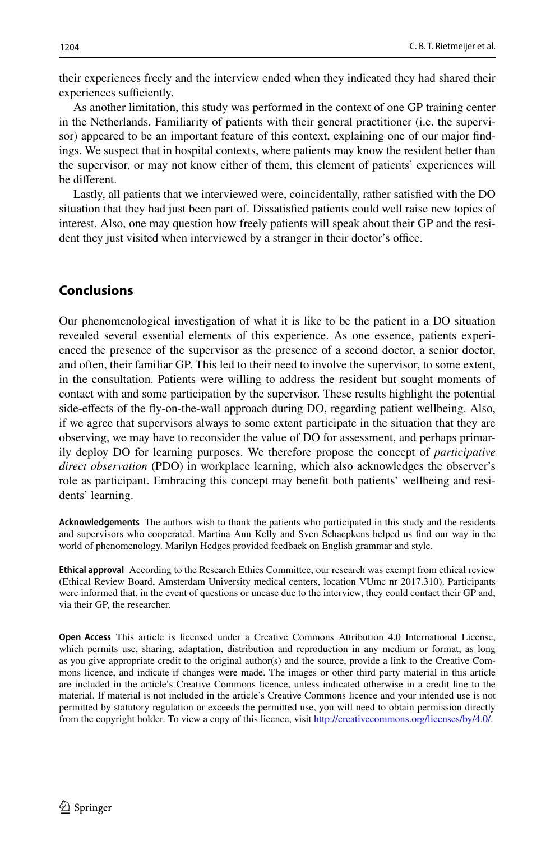their experiences freely and the interview ended when they indicated they had shared their experiences sufficiently.

As another limitation, this study was performed in the context of one GP training center in the Netherlands. Familiarity of patients with their general practitioner (i.e. the supervisor) appeared to be an important feature of this context, explaining one of our major fndings. We suspect that in hospital contexts, where patients may know the resident better than the supervisor, or may not know either of them, this element of patients' experiences will be diferent.

Lastly, all patients that we interviewed were, coincidentally, rather satisfed with the DO situation that they had just been part of. Dissatisfed patients could well raise new topics of interest. Also, one may question how freely patients will speak about their GP and the resident they just visited when interviewed by a stranger in their doctor's office.

# **Conclusions**

Our phenomenological investigation of what it is like to be the patient in a DO situation revealed several essential elements of this experience. As one essence, patients experienced the presence of the supervisor as the presence of a second doctor, a senior doctor, and often, their familiar GP. This led to their need to involve the supervisor, to some extent, in the consultation. Patients were willing to address the resident but sought moments of contact with and some participation by the supervisor. These results highlight the potential side-efects of the fy-on-the-wall approach during DO, regarding patient wellbeing. Also, if we agree that supervisors always to some extent participate in the situation that they are observing, we may have to reconsider the value of DO for assessment, and perhaps primarily deploy DO for learning purposes. We therefore propose the concept of *participative direct observation* (PDO) in workplace learning, which also acknowledges the observer's role as participant. Embracing this concept may beneft both patients' wellbeing and residents' learning.

**Acknowledgements** The authors wish to thank the patients who participated in this study and the residents and supervisors who cooperated. Martina Ann Kelly and Sven Schaepkens helped us fnd our way in the world of phenomenology. Marilyn Hedges provided feedback on English grammar and style.

**Ethical approval** According to the Research Ethics Committee, our research was exempt from ethical review (Ethical Review Board, Amsterdam University medical centers, location VUmc nr 2017.310). Participants were informed that, in the event of questions or unease due to the interview, they could contact their GP and, via their GP, the researcher.

**Open Access** This article is licensed under a Creative Commons Attribution 4.0 International License, which permits use, sharing, adaptation, distribution and reproduction in any medium or format, as long as you give appropriate credit to the original author(s) and the source, provide a link to the Creative Commons licence, and indicate if changes were made. The images or other third party material in this article are included in the article's Creative Commons licence, unless indicated otherwise in a credit line to the material. If material is not included in the article's Creative Commons licence and your intended use is not permitted by statutory regulation or exceeds the permitted use, you will need to obtain permission directly from the copyright holder. To view a copy of this licence, visit [http://creativecommons.org/licenses/by/4.0/.](http://creativecommons.org/licenses/by/4.0/)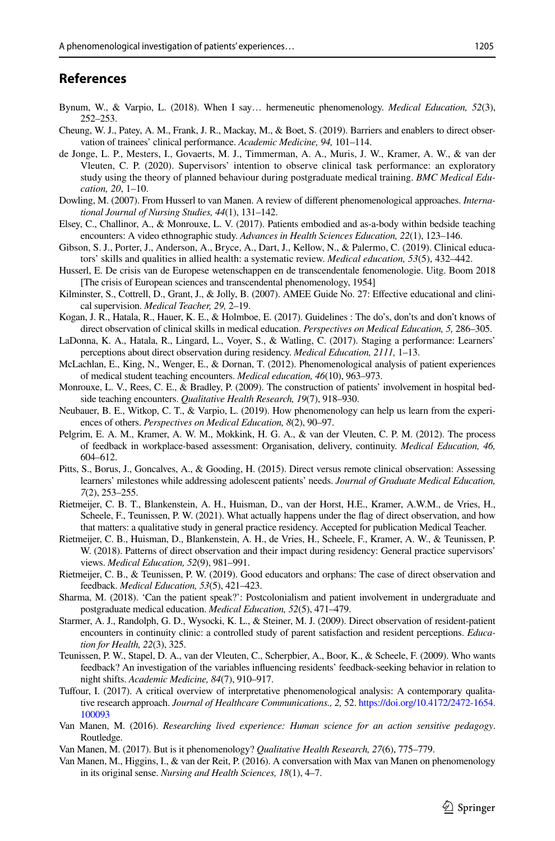### **References**

- <span id="page-14-12"></span>Bynum, W., & Varpio, L. (2018). When I say… hermeneutic phenomenology. *Medical Education, 52*(3), 252–253.
- <span id="page-14-5"></span>Cheung, W. J., Patey, A. M., Frank, J. R., Mackay, M., & Boet, S. (2019). Barriers and enablers to direct observation of trainees' clinical performance. *Academic Medicine, 94,* 101–114.
- de Jonge, L. P., Mesters, I., Govaerts, M. J., Timmerman, A. A., Muris, J. W., Kramer, A. W., & van der Vleuten, C. P. (2020). Supervisors' intention to observe clinical task performance: an exploratory study using the theory of planned behaviour during postgraduate medical training. *BMC Medical Education, 20*, 1–10.
- <span id="page-14-13"></span>Dowling, M. (2007). From Husserl to van Manen. A review of diferent phenomenological approaches. *International Journal of Nursing Studies, 44*(1), 131–142.
- <span id="page-14-19"></span>Elsey, C., Challinor, A., & Monrouxe, L. V. (2017). Patients embodied and as-a-body within bedside teaching encounters: A video ethnographic study. *Advances in Health Sciences Education, 22*(1), 123–146.
- <span id="page-14-22"></span>Gibson, S. J., Porter, J., Anderson, A., Bryce, A., Dart, J., Kellow, N., & Palermo, C. (2019). Clinical educators' skills and qualities in allied health: a systematic review. *Medical education, 53*(5), 432–442.
- <span id="page-14-16"></span>Husserl, E. De crisis van de Europese wetenschappen en de transcendentale fenomenologie. Uitg. Boom 2018 [The crisis of European sciences and transcendental phenomenology, 1954]
- <span id="page-14-0"></span>Kilminster, S., Cottrell, D., Grant, J., & Jolly, B. (2007). AMEE Guide No. 27: Efective educational and clinical supervision. *Medical Teacher, 29,* 2–19.
- <span id="page-14-1"></span>Kogan, J. R., Hatala, R., Hauer, K. E., & Holmboe, E. (2017). Guidelines : The do's, don'ts and don't knows of direct observation of clinical skills in medical education. *Perspectives on Medical Education, 5,* 286–305.
- <span id="page-14-4"></span>LaDonna, K. A., Hatala, R., Lingard, L., Voyer, S., & Watling, C. (2017). Staging a performance: Learners' perceptions about direct observation during residency. *Medical Education, 2111,* 1–13.
- <span id="page-14-10"></span>McLachlan, E., King, N., Wenger, E., & Dornan, T. (2012). Phenomenological analysis of patient experiences of medical student teaching encounters. *Medical education, 46*(10), 963–973.
- <span id="page-14-11"></span>Monrouxe, L. V., Rees, C. E., & Bradley, P. (2009). The construction of patients' involvement in hospital bedside teaching encounters. *Qualitative Health Research, 19*(7), 918–930.
- <span id="page-14-14"></span>Neubauer, B. E., Witkop, C. T., & Varpio, L. (2019). How phenomenology can help us learn from the experiences of others. *Perspectives on Medical Education, 8*(2), 90–97.
- <span id="page-14-6"></span>Pelgrim, E. A. M., Kramer, A. W. M., Mokkink, H. G. A., & van der Vleuten, C. P. M. (2012). The process of feedback in workplace-based assessment: Organisation, delivery, continuity. *Medical Education, 46,* 604–612.
- <span id="page-14-7"></span>Pitts, S., Borus, J., Goncalves, A., & Gooding, H. (2015). Direct versus remote clinical observation: Assessing learners' milestones while addressing adolescent patients' needs. *Journal of Graduate Medical Education, 7*(2), 253–255.
- <span id="page-14-3"></span>Rietmeijer, C. B. T., Blankenstein, A. H., Huisman, D., van der Horst, H.E., Kramer, A.W.M., de Vries, H., Scheele, F., Teunissen, P. W. (2021). What actually happens under the fag of direct observation, and how that matters: a qualitative study in general practice residency. Accepted for publication Medical Teacher.
- <span id="page-14-2"></span>Rietmeijer, C. B., Huisman, D., Blankenstein, A. H., de Vries, H., Scheele, F., Kramer, A. W., & Teunissen, P. W. (2018). Patterns of direct observation and their impact during residency: General practice supervisors' views. *Medical Education, 52*(9), 981–991.
- <span id="page-14-21"></span>Rietmeijer, C. B., & Teunissen, P. W. (2019). Good educators and orphans: The case of direct observation and feedback. *Medical Education, 53*(5), 421–423.
- <span id="page-14-9"></span>Sharma, M. (2018). 'Can the patient speak?': Postcolonialism and patient involvement in undergraduate and postgraduate medical education. *Medical Education, 52*(5), 471–479.
- <span id="page-14-8"></span>Starmer, A. J., Randolph, G. D., Wysocki, K. L., & Steiner, M. J. (2009). Direct observation of resident-patient encounters in continuity clinic: a controlled study of parent satisfaction and resident perceptions. *Education for Health, 22*(3), 325.
- <span id="page-14-20"></span>Teunissen, P. W., Stapel, D. A., van der Vleuten, C., Scherpbier, A., Boor, K., & Scheele, F. (2009). Who wants feedback? An investigation of the variables infuencing residents' feedback-seeking behavior in relation to night shifts. *Academic Medicine, 84*(7), 910–917.
- <span id="page-14-23"></span>Tufour, I. (2017). A critical overview of interpretative phenomenological analysis: A contemporary qualitative research approach. *Journal of Healthcare Communications., 2,* 52. [https://doi.org/10.4172/2472-1654.](https://doi.org/10.4172/2472-1654.100093) [100093](https://doi.org/10.4172/2472-1654.100093)
- <span id="page-14-17"></span>Van Manen, M. (2016). *Researching lived experience: Human science for an action sensitive pedagogy*. Routledge.
- <span id="page-14-15"></span>Van Manen, M. (2017). But is it phenomenology? *Qualitative Health Research, 27*(6), 775–779.
- <span id="page-14-18"></span>Van Manen, M., Higgins, I., & van der Reit, P. (2016). A conversation with Max van Manen on phenomenology in its original sense. *Nursing and Health Sciences, 18*(1), 4–7.